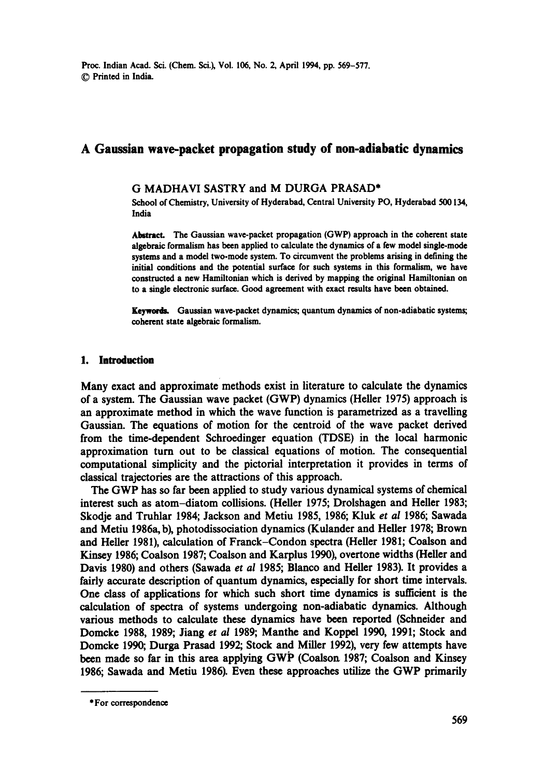Proc. Indian Acad. Sci. (Chem. Sci.), Vol. 106, No. 2, April 1994, pp. 569-577. 9 Printed in India.

# **A Gaussian wave-packet propagation study of non-adiabatic dynamics**

#### G MADHAVI SASTRY and M DURGA PRASAD\*

School of Chemistry, University of Hyderabad, Central University PO, Hyderabad 500134, India

Abstract. The Gaussian wave-packet propagation (GWP) approach in the coherent state algebraic formalism has been applied to calculate the dynamics of a few model single-mode systems and a model two-mode system. To circumvent the problems arising in defining the initial conditions and the potential surface for such systems in this formalism, we have constructed a new Hamiltonian which is derived by mapping the original Hamiltonian on to a single electronic surface. Good agreement with exact results have been obtained.

Keywords. Gaussian wave-packet dynamics; quantum dynamics of non-adiabatic systems; coherent state algebraic formalism.

#### 1. Introduction

Many exact and approximate methods exist in literature to calculate the dynamics of a system. The Gaussian wave packet (GWP) dynamics (Heller 1975) approach is an approximate method in which the wave function is parametrized as a travelling Gaussian. The equations of motion for the centroid of the wave packet derived from the time-dependent Schroedinger equation (TDSE) in the local harmonic approximation turn out to be classical equations of motion. The consequential computational simplicity and the pictorial interpretation it provides in terms of classical trajectories are the attractions of this approach.

The GWP has so far been applied to study various dynamical systems of chemical interest such as atom-diatom collisions. (Heller 1975; Drolshagen and Heller 1983; Skodje and Truhlar 1984; Jackson and Metiu 1985, 1986; Kluk et *al* 1986; Sawada and Metiu 1986a, b), photodissociation dynamics (Kulander and Heller 1978; Brown and Heller 1981), calculation of Franck-Condon spectra (Heller 1981; Coalson and Kinsey 1986; Coalson 1987; Coalson and Karplus 1990), overtone widths (Heller and Davis 1980) and others (Sawada *et al* 1985; Blanco and Heller 1983). It provides a fairly accurate description of quantum dynamics, especially for short time intervals. One class of applications for which such short time dynamics is sufficient is the calculation of spectra of systems undergoing non-adiabatic dynamics. Although various methods to calculate these dynamics have been reported (Schneider and Domcke 1988, 1989; Jiang *et al* 1989; Manthe and Koppel 1990, 1991; Stock and Domcke 1990; Durga Prasad 1992; Stock and Miller 1992), very few attempts have been made so far in this area applying GWP (Coalson 1987; Coalson and Kinsey 1986; Sawada and Metiu 1986). Even these approaches utilize the GWP primarily

<sup>\*</sup> For correspondence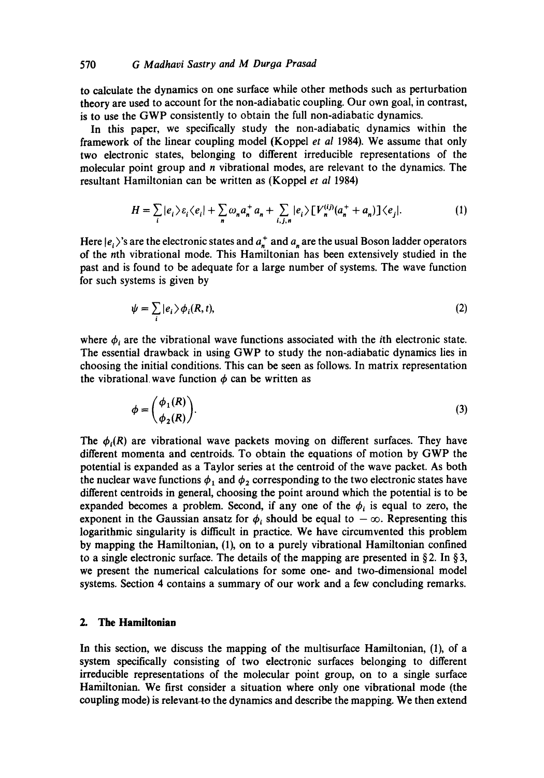### 570 *G Madhavi Sastry and M Duroa Prasad*

to calculate the dynamics on one surface while other methods such as perturbation theory are used to account for the non-adiabatic coupling. Our own goal, in contrast, is to use the GWP consistently to obtain the full non-adiabatic dynamics.

In this paper, we specifically study the non-adiabatic, dynamics within the framework of the linear coupling model (Koppel *et al* 1984). We assume that only two electronic states, belonging to different irreducible representations of the molecular point group and  $n$  vibrational modes, are relevant to the dynamics. The resultant Hamiltonian can be written as (Koppel *et al* 1984)

$$
H = \sum_{i} |e_i\rangle \varepsilon_i \langle e_i| + \sum_{n} \omega_n a_n^+ a_n + \sum_{i,j,n} |e_i\rangle \left[ V_n^{(ij)}(a_n^+ + a_n) \right] \langle e_j|.
$$
 (1)

Here  $|e_i\rangle$ 's are the electronic states and  $a_{\bf r}^+$  and  $a_{\bf r}$  are the usual Boson ladder operators of the nth vibrational mode. This Hamiltonian has been extensively studied in the past and is found to be adequate for a large number of systems. The wave function for such systems is given by

$$
\psi = \sum_{i} |e_i\rangle \phi_i(R, t), \tag{2}
$$

where  $\phi_i$  are the vibrational wave functions associated with the *i*th electronic state. The essential drawback in using GWP to study the non-adiabatic dynamics lies in choosing the initial conditions. This can be seen as follows. In matrix representation the vibrational wave function  $\phi$  can be written as

$$
\phi = \begin{pmatrix} \phi_1(R) \\ \phi_2(R) \end{pmatrix} . \tag{3}
$$

The  $\phi_i(R)$  are vibrational wave packets moving on different surfaces. They have different momenta and centroids. To obtain the equations of motion by GWP the potential is expanded as a Taylor series at the centroid of the wave packet. As both the nuclear wave functions  $\phi_1$  and  $\phi_2$  corresponding to the two electronic states have different centroids in general, choosing the point around which the potential is to be expanded becomes a problem. Second, if any one of the  $\phi_i$  is equal to zero, the exponent in the Gaussian ansatz for  $\phi_i$  should be equal to  $-\infty$ . Representing this logarithmic singularity is difficult in practice. We have circumvented this problem by mapping the Hamiltonian, (1), on to a purely vibrational Hamiltonian confined to a single electronic surface. The details of the mapping are presented in §2. In §3, we present the numerical calculations for some one- and two-dimensional model systems. Section 4 contains a summary of our work and a few concluding remarks.

## **2. The Hamiltonian**

In this section, we discuss the mapping of the multisurface Hamiltonian, (1), of a system specifically consisting of two electronic surfaces belonging to different irreducible representations of the molecular point group, on to a single surface Hamiltonian. We first consider a situation where only one vibrational mode (the coupling mode) is relevant to the dynamics and describe the mapping. We then extend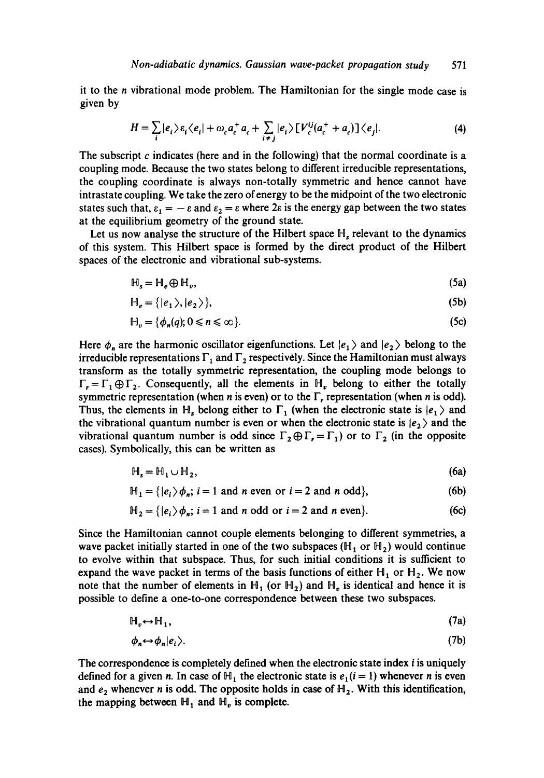it to the *n* vibrational mode problem. The Hamiltonian for the single mode case is given by

$$
H = \sum_{i} |e_i\rangle \varepsilon_i \langle e_i| + \omega_c a_c^+ a_c + \sum_{i \neq j} |e_i\rangle \left[V_c^{ij}(a_c^+ + a_c)\right] \langle e_j|.
$$
 (4)

The subscript  $c$  indicates (here and in the following) that the normal coordinate is a coupling mode. Because the two states belong to different irreducible representations, the coupling coordinate is always non-totally symmetric and hence cannot have intrastate coupling. We take the zero of energy to be the midpoint of the two electronic states such that,  $\varepsilon_1 = -\varepsilon$  and  $\varepsilon_2 = \varepsilon$  where  $2\varepsilon$  is the energy gap between the two states at the equilibrium geometry of the ground state.

Let us now analyse the structure of the Hilbert space  $\mathbb{H}$ , relevant to the dynamics of this system. This Hilbert space is formed by the direct product of the Hilbert spaces of the electronic and vibrational sub-systems.

$$
\mathbb{H}_s = \mathbb{H}_e \oplus \mathbb{H}_v,\tag{5a}
$$

$$
\mathbb{H}_e = \{ |e_1\rangle, |e_2\rangle \},\tag{5b}
$$

$$
\mathbb{H}_v = \{ \phi_n(q); 0 \le n \le \infty \}. \tag{5c}
$$

Here  $\phi_n$  are the harmonic oscillator eigenfunctions. Let  $|e_1\rangle$  and  $|e_2\rangle$  belong to the irreducible representations  $\Gamma_1$  and  $\Gamma_2$  respectively. Since the Hamiltonian must always transform as the totally symmetric representation, the coupling mode belongs to  $\Gamma_r = \Gamma_1 \oplus \Gamma_2$ . Consequently, all the elements in  $H_v$  belong to either the totally symmetric representation (when n is even) or to the  $\Gamma$ , representation (when n is odd). Thus, the elements in H<sub>s</sub> belong either to  $\Gamma_1$  (when the electronic state is  $|e_1\rangle$  and the vibrational quantum number is even or when the electronic state is  $|e_2\rangle$  and the vibrational quantum number is odd since  $\Gamma_2 \oplus \Gamma_1 = \Gamma_1$ ) or to  $\Gamma_2$  (in the opposite cases). Symbolically, this can be written as

$$
\mathbb{H}_{s} = \mathbb{H}_{1} \cup \mathbb{H}_{2},\tag{6a}
$$

$$
\mathbb{H}_1 = \{ |e_i\rangle \phi_n; i = 1 \text{ and } n \text{ even or } i = 2 \text{ and } n \text{ odd} \},\tag{6b}
$$

$$
\mathbb{H}_2 = \{ |e_i\rangle \phi_n; i = 1 \text{ and } n \text{ odd or } i = 2 \text{ and } n \text{ even} \}. \tag{6c}
$$

Since the Hamiltonian cannot couple elements belonging to different symmetries, a wave packet initially started in one of the two subspaces ( $H_1$  or  $H_2$ ) would continue to evolve within that subspace. Thus, for such initial conditions it is sufficient to expand the wave packet in terms of the basis functions of either  $H_1$  or  $H_2$ . We now note that the number of elements in  $H_1$  (or  $H_2$ ) and  $H_n$  is identical and hence it is possible to define a one-to-one correspondence between these two subspaces.

$$
\mathbb{H}_v \leftrightarrow \mathbb{H}_1,\tag{7a}
$$

$$
\phi_n \leftrightarrow \phi_n | e_i \rangle. \tag{7b}
$$

The correspondence is completely defined when the electronic state index *i* is uniquely defined for a given n. In case of  $H_1$ , the electronic state is  $e_1(i = 1)$  whenever n is even and  $e_2$  whenever n is odd. The opposite holds in case of  $H_2$ . With this identification, the mapping between  $H_1$  and  $H_v$  is complete.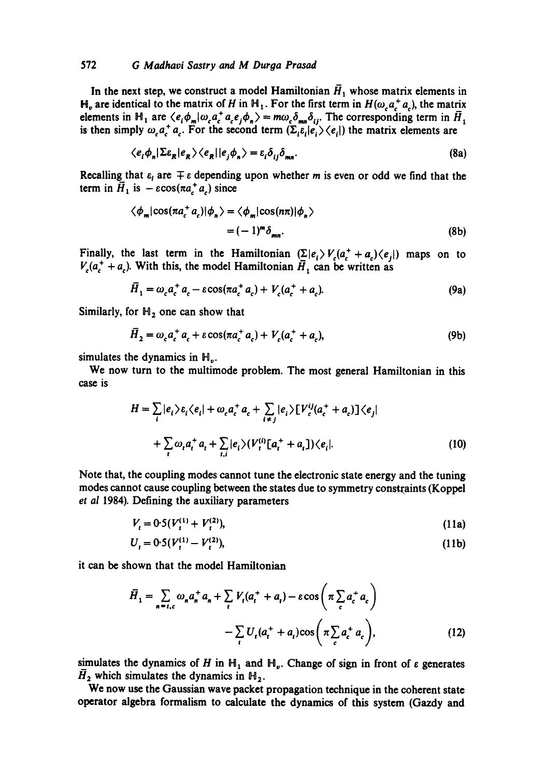## 572 *G Madhavi Sastry and M Durga Prasad*

In the next step, we construct a model Hamiltonian  $\bar{H}_1$  whose matrix elements in  $H_v$  are identical to the matrix of H in  $H_1$ . For the first term in  $H(\omega_c a_c^+ a_c)$ , the matrix elements in H<sub>1</sub> are  $\langle e_i \phi_m | \omega_c a_c^+ a_c e_i \phi_n \rangle = m \omega_c \delta_{mn} \delta_{ij}$ . The corresponding term in  $\bar{H}_1$ is then simply  $\omega_c a_c^{\dagger} a_c$ . For the second term  $(\Sigma_i \varepsilon_i | e_i) \langle e_i |$ ) the matrix elements are

$$
\langle e_i \phi_n | \Sigma \varepsilon_R | e_R \rangle \langle e_R | | e_j \phi_n \rangle = \varepsilon_i \delta_{ij} \delta_{mn}.
$$
 (8a)

Recalling that  $\varepsilon_t$  are  $\mp \varepsilon$  depending upon whether m is even or odd we find that the term in  $\vec{H}_1$  is  $-\epsilon \cos(\pi a^{\dagger} a)$  since

$$
\langle \phi_m | \cos(\pi a_c^+ a_c) | \phi_n \rangle = \langle \phi_m | \cos(n\pi) | \phi_n \rangle
$$
  
=  $(-1)^m \delta_{mn}$ . (8b)

Finally, the last term in the Hamiltonian  $(\sum |e_i\rangle V_c(a_i^+ + a_i)\langle e_i|)$  maps on to  $V_c(a_t^+ + a_c)$ . With this, the model Hamiltonian  $\bar{H}_1$  can be written as

$$
\overline{H}_1 = \omega_c a_c^+ a_c - \varepsilon \cos(\pi a_c^+ a_c) + V_c (a_c^+ + a_c). \tag{9a}
$$

Similarly, for  $H_2$  one can show that

$$
\bar{H}_2 = \omega_c a_c^+ a_c + \varepsilon \cos(\pi a_c^+ a_c) + V_c (a_c^+ + a_c),
$$
\n(9b)

simulates the dynamics in H,.

We now turn to the multimode problem. The most general Hamiltonian in this case is

$$
H = \sum_{i} |e_{i}\rangle \varepsilon_{i} \langle e_{i}| + \omega_{c} a_{c}^{+} a_{c} + \sum_{i \neq j} |e_{i}\rangle [V_{c}^{ij}(a_{c}^{+} + a_{c})] \langle e_{j}|
$$
  
+ 
$$
\sum_{i} \omega_{i} a_{i}^{+} a_{i} + \sum_{i,i} |e_{i}\rangle (V_{t}^{(i)}[a_{i}^{+} + a_{i}]) \langle e_{i}|.
$$
 (10)

Note that, the coupling modes cannot tune the electronic state energy and the tuning modes cannot cause coupling between the states due to symmetry constraints (Koppel *et al* 1984). Defining the auxiliary parameters

$$
V_t = 0.5(V_t^{(1)} + V_t^{(2)}),\tag{11a}
$$

$$
U_t = 0.5(V_t^{(1)} - V_t^{(2)}),\tag{11b}
$$

it can be shown that the model Hamiltonian

$$
\bar{H}_1 = \sum_{n = t,c} \omega_n a_n^+ a_n + \sum_t V_t (a_t^+ + a_t) - \varepsilon \cos \left( \pi \sum_c a_c^+ a_c \right)
$$

$$
- \sum_t U_t (a_t^+ + a_t) \cos \left( \pi \sum_c a_c^+ a_c \right), \tag{12}
$$

simulates the dynamics of H in  $H_1$  and  $H_v$ . Change of sign in front of  $\varepsilon$  generates  $\bar{H}_2$  which simulates the dynamics in  $H_2$ .

We now use the Gaussian wave packet propagation technique in the coherent state operator algebra formalism to calculate the dynamics of this system (Gazdy and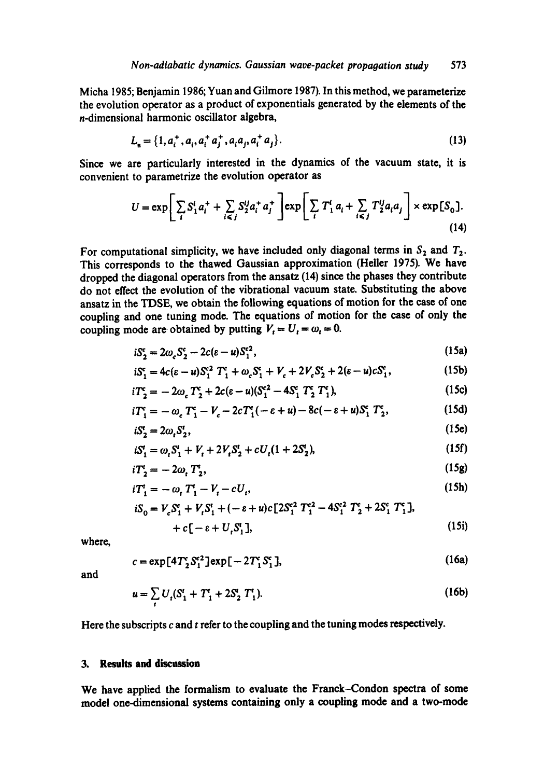Micha 1985; Benjamin 1986; Yuan and Gilmore 1987). In this method, we parameterize the evolution operator as a product of exponentials generated by the elements of the n-dimensional harmonic oscillator algebra,

$$
L_n = \{1, a_i^+, a_i, a_i^+ a_j^+, a_i a_j, a_i^+ a_j\}.
$$
 (13)

Since we are particularly interested in the dynamics of the vacuum state, it is convenient to parametrize the evolution operator as

$$
U = \exp\bigg[\sum_{i} S_{1}^{i} a_{i}^{+} + \sum_{i \leq j} S_{2}^{ij} a_{i}^{+} a_{j}^{+}\bigg] \exp\bigg[\sum_{i} T_{1}^{i} a_{i} + \sum_{i \leq j} T_{2}^{ij} a_{i} a_{j}\bigg] \times \exp[S_{0}].
$$
\n(14)

For computational simplicity, we have included only diagonal terms in  $S_2$  and  $T_2$ . This corresponds to the thawed Gaussian approximation (Heller 1975). We have dropped the diagonal operators from the ansatz (14) since the phases they contribute do not effect the evolution of the vibrational vacuum state. Substituting the above ansatz in the TDSE, we obtain the following equations of motion for the case of one coupling and one tuning mode. The equations of motion for the case of only the coupling mode are obtained by putting  $V_t = U_t = \omega_t = 0$ .

$$
iS_2^c = 2\omega_c S_2^c - 2c(\varepsilon - u)S_1^{c2},\tag{15a}
$$

$$
iS_1^c = 4c(\epsilon - u)S_1^{c2}T_1^c + \omega_c S_1^c + V_c + 2V_c S_2^c + 2(\epsilon - u)cS_1^c,
$$
 (15b)

$$
iT_2^c = -2\omega_c T_2^c + 2c(\varepsilon - u)(S_1^{c2} - 4S_1^c T_2^c T_1^c),
$$
\n(15c)

$$
iT_1^c = -\omega_c T_1^c - V_c - 2cT_1^c(-\varepsilon + u) - 8c(-\varepsilon + u)S_1^c T_2^c, \qquad (15d)
$$

$$
iS_2^t = 2\omega_t S_2^t,\tag{15e}
$$

$$
iS_1^t = \omega_t S_1^t + V_t + 2V_t S_2^t + cU_t (1 + 2S_2^t),
$$
\n(15f)

$$
iT_2^t = -2\omega_t T_2^t,\tag{15g}
$$

$$
iT_1^t = -\omega_t T_1^t - V_t - cU_t, \qquad (15h)
$$

$$
iS_0 = V_c S_1^c + V_t S_1^t + (-\varepsilon + u)c[2S_1^{c2} T_1^{c2} - 4S_1^{c2} T_2^c + 2S_1^c T_1^c],
$$
  
+  $c[-\varepsilon + U, S_1^t],$  (15i)

where,

$$
c = \exp\left[4T_2^c S_1^{c2}\right] \exp\left[-2T_1^c S_1^c\right],\tag{16a}
$$

and

$$
u = \sum_{i} U_{i} (S'_{1} + T'_{1} + 2S'_{2} T'_{1}).
$$
 (16b)

Here the subscripts  $c$  and  $t$  refer to the coupling and the tuning modes respectively.

**3.** Results and **discussion** 

We have applied the formalism to evaluate the Franck-Condon spectra of some model one-dimensional systems containing only a coupling mode and a two-mode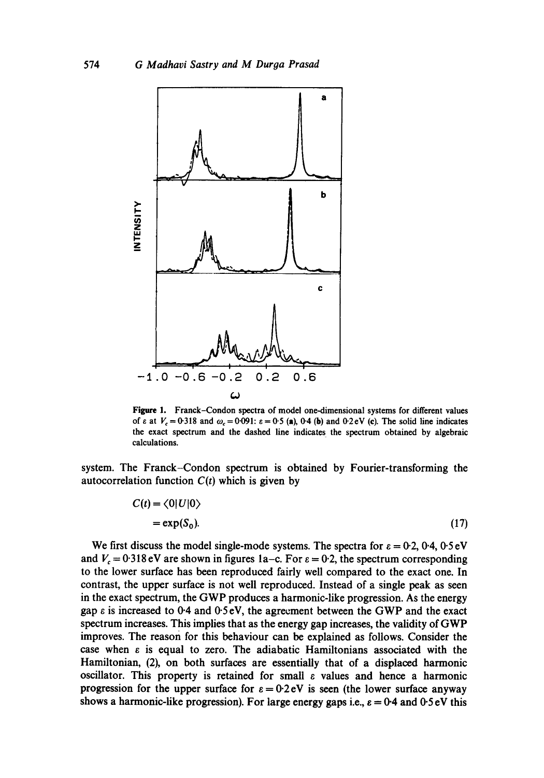

Figure 1. Franck-Condon spectra of model one-dimensional systems for different values of  $\varepsilon$  at  $V_c = 0.318$  and  $\omega_c = 0.091$ :  $\varepsilon = 0.5$  (a), 0.4 (b) and 0.2eV (c). The solid line indicates the exact spectrum and the dashed line indicates the spectrum obtained by algebraic calculations.

system. The Franck-Condon spectrum is obtained by Fourier-transforming the autocorrelation function  $C(t)$  which is given by

$$
C(t) = \langle 0 | U | 0 \rangle
$$
  
= exp(S<sub>0</sub>). (17)

We first discuss the model single-mode systems. The spectra for  $\varepsilon = 0.2$ , 0.4, 0.5 eV and  $V_c = 0.318 \text{ eV}$  are shown in figures 1a–c. For  $\varepsilon = 0.2$ , the spectrum corresponding to the lower surface has been reproduced fairly well compared to the exact one. In contrast, the upper surface is not well reproduced. Instead of a single peak as seen in the exact spectrum, the GWP produces a harmonic-like progression. As the energy gap  $\varepsilon$  is increased to 0.4 and 0.5 eV, the agreement between the GWP and the exact spectrum increases. This implies that as the energy gap increases, the validity of GWP improves. The reason for this behaviour can be explained as follows. Consider the case when  $\varepsilon$  is equal to zero. The adiabatic Hamiltonians associated with the Hamiltonian, (2), on both surfaces are essentially that of a displaced harmonic oscillator. This property is retained for small  $\varepsilon$  values and hence a harmonic progression for the upper surface for  $\varepsilon = 0.2$  eV is seen (the lower surface anyway shows a harmonic-like progression). For large energy gaps i.e.,  $\varepsilon = 0.4$  and  $0.5 \text{ eV}$  this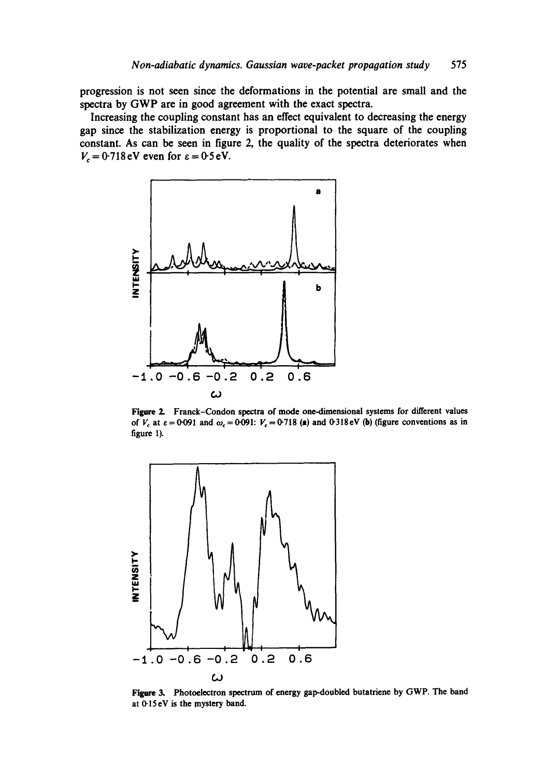progression is not seen since the deformations in the potential are small and the spectra by GWP are in good agreement with the exact spectra.

Increasing the coupling constant has an effect equivalent to decreasing the energy gap since the stabilization energy is proportional to the square of the coupling constant. As can be seen in figure 2, the quality of the spectra deteriorates when  $V_c = 0.718 \text{ eV}$  even for  $\varepsilon = 0.5 \text{ eV}$ .



Figure 2. Franck-Condon spectra of mode one-dimensional systems for different values of  $V_c$  at  $\varepsilon = 0.091$  and  $\omega_c = 0.091$ :  $V_c = 0.718$  (a) and 0.318eV (b) (figure conventions as in figure 1).



Figure 3. Photoelectron spectrum of energy gap-doubled butatriene by GWP. The band at 0.15eV is the mystery band.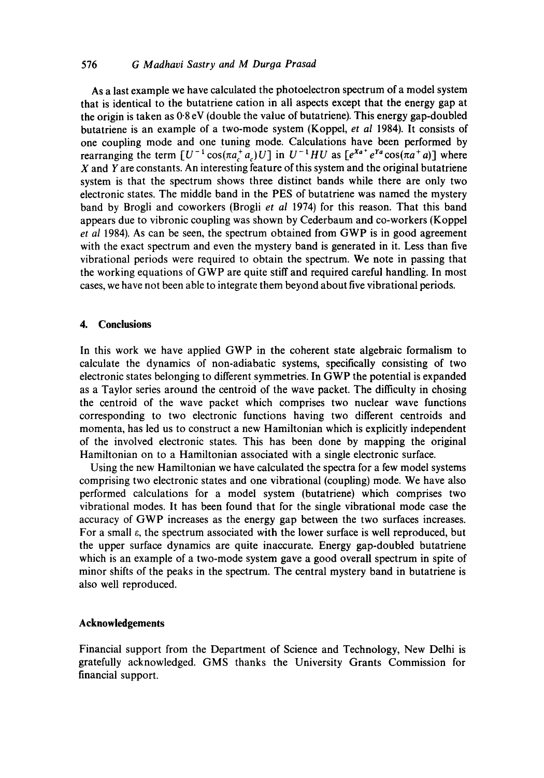# 576 *G Madhavi Sastry and M Duroa Prasad*

As a last example we have calculated the photoelectron spectrum of a model system that is identical to the butatriene cation in all aspects except that the energy gap at the origin is taken as 0"8 eV (double the value of butatriene). This energy gap-doubled butatriene is an example of a two-mode system (Koppel, *et al* 1984). It consists of one coupling mode and one tuning mode. Calculations have been performed by rearranging the term  $[U^{-1} \cos(\pi a^{\dagger} a) U]$  in  $U^{-1} H U$  as  $[e^{X a^{\dagger}} e^{Y a} \cos(\pi a^{\dagger} a)]$  where  $X$  and  $Y$  are constants. An interesting feature of this system and the original butatriene system is that the spectrum shows three distinct bands while there are only two electronic states. The middle band in the PES of butatriene was named the mystery band by Brogli and coworkers (Brogli *et al* 1974) for this reason. That this band appears due to vibronic coupling was shown by Cederbaum and co-workers (Koppel *et al* 1984). As can be seen, the spectrum obtained from GWP is in good agreement with the exact spectrum and even the mystery band is generated in it. Less than five vibrational periods were required to obtain the spectrum. We note in passing that the working equations of GWP are quite stiff and required careful handling. In most cases, we have not been able to integrate them beyond about five vibrational periods.

# **4. Conclusions**

In this work we have applied GWP in the coherent state algebraic formalism to calculate the dynamics of non-adiabatic systems, specifically consisting of two electronic states belonging to different symmetries. In GWP the potential is expanded as a Taylor series around the centroid of the wave packet. The difficulty in chosing the centroid of the wave packet which comprises two nuclear wave functions corresponding to two electronic functions having two different centroids and momenta, has led us to construct a new Hamiltonian which is explicitly independent of the involved electronic states. This has been done by mapping the original Hamiltonian on to a Hamiltonian associated with a single electronic surface.

Using the new Hamiltonian we have calculated the spectra for a few model systems comprising two electronic states and one vibrational (coupling) mode. We have also performed calculations for a model system (butatriene) which comprises two vibrational modes. It has been found that for the single vibrational mode case the accuracy of GWP increases as the energy gap between the two surfaces increases. For a small  $\varepsilon$ , the spectrum associated with the lower surface is well reproduced, but the upper surface dynamics are quite inaccurate. Energy gap-doubled butatriene which is an example of a two-mode system gave a good overall spectrum in spite of minor shifts of the peaks in the spectrum. The central mystery band in butatriene is also well reproduced.

## **Acknowledgements**

Financial support from the Department of Science and Technology, New Delhi is gratefully acknowledged. GMS thanks the University Grants Commission for financial support.